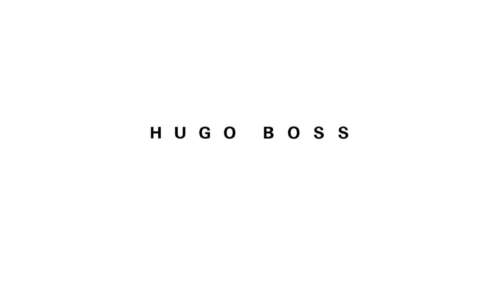# HUGO BOSS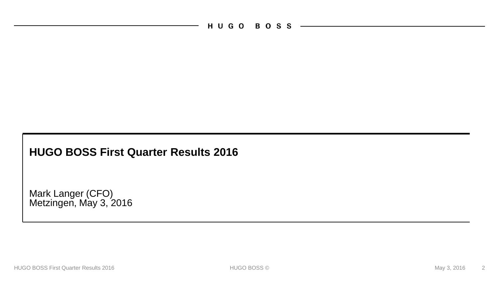HUGO BOSS -

### **HUGO BOSS First Quarter Results 2016**

Mark Langer (CFO) Metzingen, May 3, 2016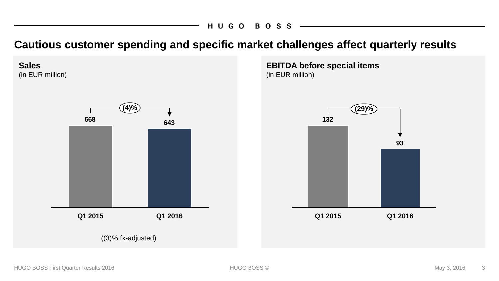**Cautious customer spending and specific market challenges affect quarterly results**

**Sales** (in EUR million) **<sup>643</sup> <sup>668</sup> (4)%**

**Q1 2015**

**EBITDA before special items** (in EUR million)



((3)% fx-adjusted)

**Q1 2016**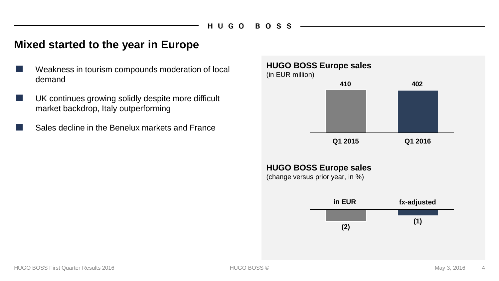### **Mixed started to the year in Europe**

- Weakness in tourism compounds moderation of local demand
- UK continues growing solidly despite more difficult market backdrop, Italy outperforming
- Sales decline in the Benelux markets and France

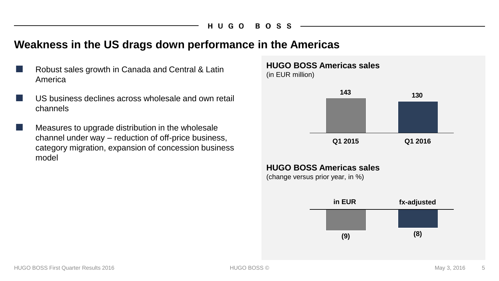### **Weakness in the US drags down performance in the Americas**

- Robust sales growth in Canada and Central & Latin America
- US business declines across wholesale and own retail channels
- Measures to upgrade distribution in the wholesale channel under way – reduction of off-price business, category migration, expansion of concession business model



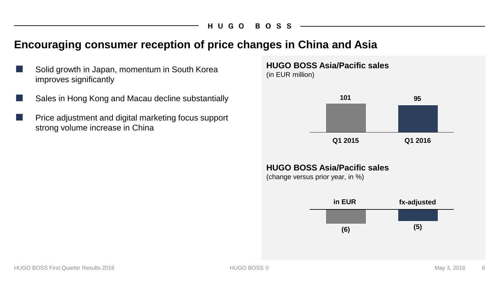### **Encouraging consumer reception of price changes in China and Asia**

- Solid growth in Japan, momentum in South Korea improves significantly
- Sales in Hong Kong and Macau decline substantially
- Price adjustment and digital marketing focus support strong volume increase in China



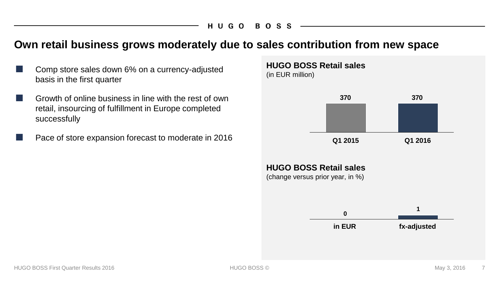### **Own retail business grows moderately due to sales contribution from new space**

- Comp store sales down 6% on a currency-adjusted basis in the first quarter
- Growth of online business in line with the rest of own retail, insourcing of fulfillment in Europe completed successfully
- Pace of store expansion forecast to moderate in 2016

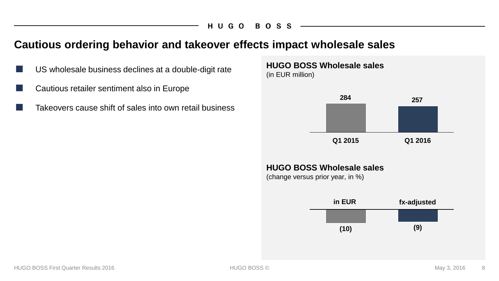### **Cautious ordering behavior and takeover effects impact wholesale sales**

- US wholesale business declines at a double-digit rate
- Cautious retailer sentiment also in Europe
	- Takeovers cause shift of sales into own retail business



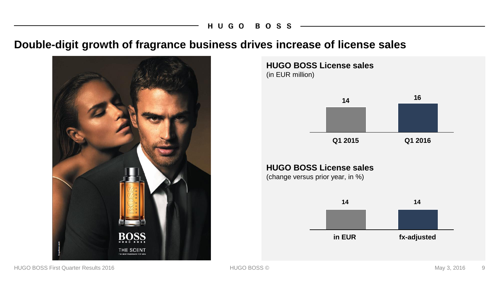### **Double-digit growth of fragrance business drives increase of license sales**



**HUGO BOSS License sales**  (in EUR million)

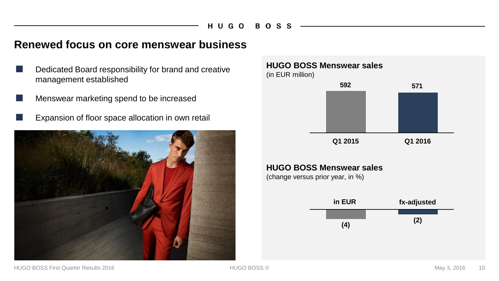### **Renewed focus on core menswear business**

- Dedicated Board responsibility for brand and creative management established
- Menswear marketing spend to be increased
	- Expansion of floor space allocation in own retail



**HUGO BOSS Menswear sales**  (in EUR million)



#### **HUGO BOSS Menswear sales**

(change versus prior year, in %)

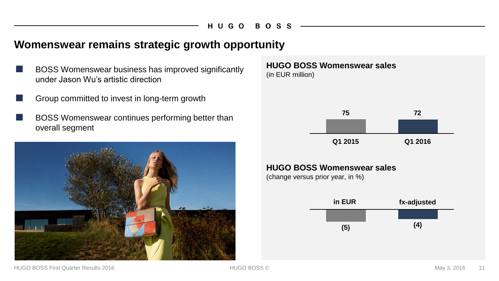### **Womenswear remains strategic growth opportunity**

- BOSS Womenswear business has improved significantly under Jason Wu's artistic direction
- Group committed to invest in long-term growth
- BOSS Womenswear continues performing better than overall segment



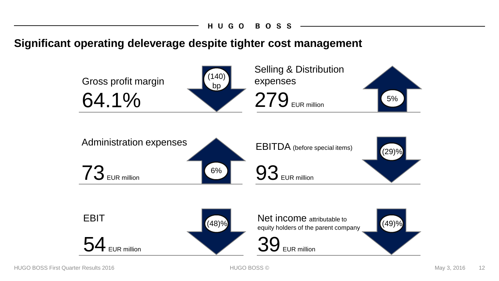**Significant operating deleverage despite tighter cost management**

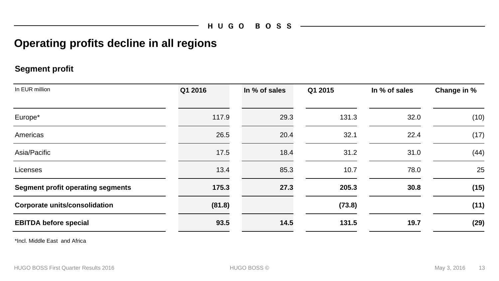### **Operating profits decline in all regions**

#### **Segment profit**

| In EUR million                           | Q1 2016 | In % of sales | Q1 2015 | In % of sales | Change in % |
|------------------------------------------|---------|---------------|---------|---------------|-------------|
| Europe*                                  | 117.9   | 29.3          | 131.3   | 32.0          | (10)        |
| Americas                                 | 26.5    | 20.4          | 32.1    | 22.4          | (17)        |
| Asia/Pacific                             | 17.5    | 18.4          | 31.2    | 31.0          | (44)        |
| Licenses                                 | 13.4    | 85.3          | 10.7    | 78.0          | 25          |
| <b>Segment profit operating segments</b> | 175.3   | 27.3          | 205.3   | 30.8          | (15)        |
| <b>Corporate units/consolidation</b>     | (81.8)  |               | (73.8)  |               | (11)        |
| <b>EBITDA before special</b>             | 93.5    | 14.5          | 131.5   | 19.7          | (29)        |

\*Incl. Middle East and Africa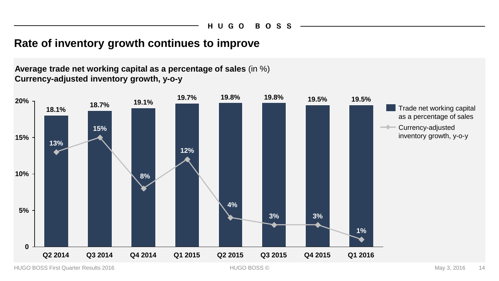## **Rate of inventory growth continues to improve**

**Average trade net working capital as a percentage of sales** (in %) **Currency-adjusted inventory growth, y-o-y**

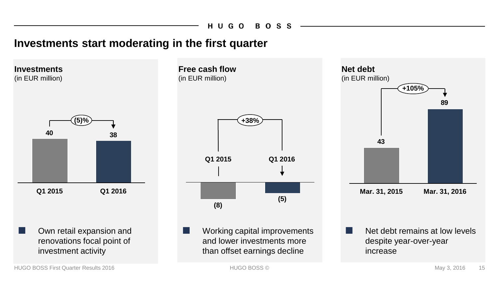**Free cash flow**

### **Investments start moderating in the first quarter**

Own retail expansion and renovations focal point of investment activity **38 40 (5)% Q1 2015 Q1 2016 Investments** (in EUR million)



Working capital improvements and lower investments more than offset earnings decline



Net debt remains at low levels despite year-over-year increase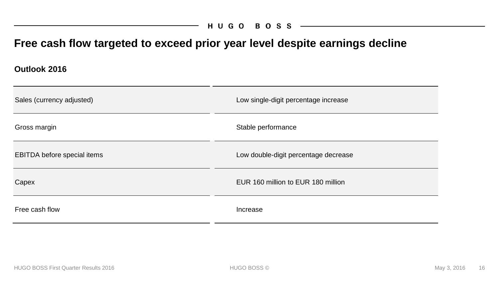### HUGO BOSS

## **Free cash flow targeted to exceed prior year level despite earnings decline**

**Outlook 2016 Outlook 2016**

| Sales (currency adjusted)   | Low single-digit percentage increase |
|-----------------------------|--------------------------------------|
| Gross margin                | Stable performance                   |
| EBITDA before special items | Low double-digit percentage decrease |
| Capex                       | EUR 160 million to EUR 180 million   |
| Free cash flow              | Increase                             |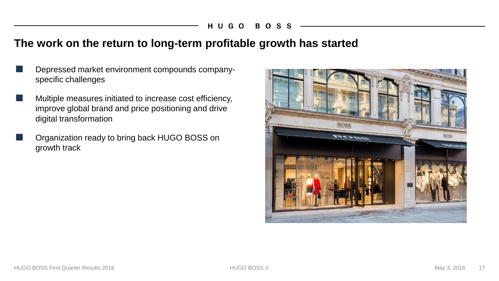#### HUGO B O - S

### **The work on the return to long-term profitable growth has started**

- Depressed market environment compounds companyspecific challenges
- Multiple measures initiated to increase cost efficiency, improve global brand and price positioning and drive digital transformation
- Organization ready to bring back HUGO BOSS on growth track

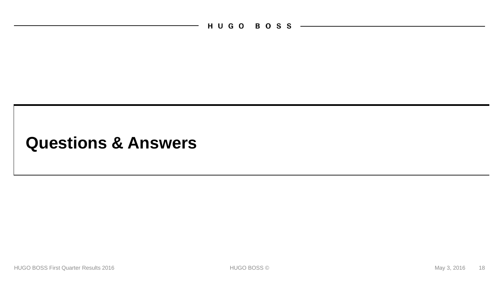HUGO BOSS -

## **Questions & Answers**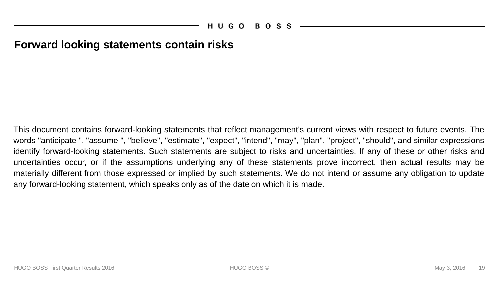### **Forward looking statements contain risks**

This document contains forward-looking statements that reflect management's current views with respect to future events. The words "anticipate ", "assume ", "believe", "estimate", "expect", "intend", "may", "plan", "project", "should", and similar expressions identify forward-looking statements. Such statements are subject to risks and uncertainties. If any of these or other risks and uncertainties occur, or if the assumptions underlying any of these statements prove incorrect, then actual results may be materially different from those expressed or implied by such statements. We do not intend or assume any obligation to update any forward-looking statement, which speaks only as of the date on which it is made.